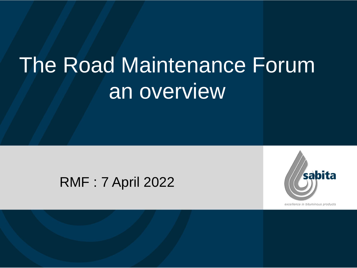# The Road Maintenance Forum an overview

### RMF : 7 April 2022



excellence in bituminous products

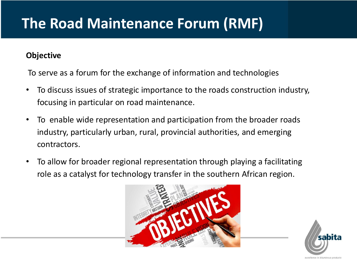## **The Road Maintenance Forum (RMF)**

#### **Objective**

To serve as a forum for the exchange of information and technologies

- To discuss issues of strategic importance to the roads construction industry, focusing in particular on road maintenance.
- To enable wide representation and participation from the broader roads industry, particularly urban, rural, provincial authorities, and emerging contractors.
- To allow for broader regional representation through playing a facilitating role as a catalyst for technology transfer in the southern African region.



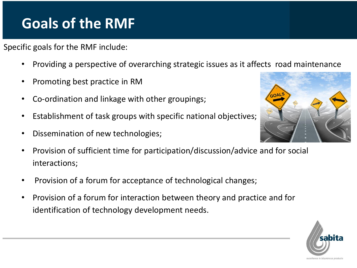## **Goals of the RMF**

Specific goals for the RMF include:

- Providing a perspective of overarching strategic issues as it affects road maintenance
- Promoting best practice in RM
- Co-ordination and linkage with other groupings;
- Establishment of task groups with specific national objectives;
- Dissemination of new technologies;
- Provision of sufficient time for participation/discussion/advice and for social interactions;
- Provision of a forum for acceptance of technological changes;
- Provision of a forum for interaction between theory and practice and for identification of technology development needs.



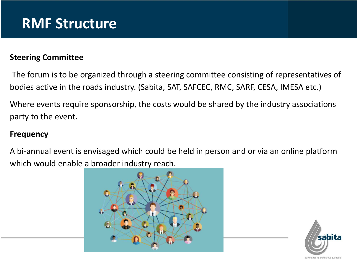### **RMF Structure**

#### **Steering Committee**

The forum is to be organized through a steering committee consisting of representatives of bodies active in the roads industry. (Sabita, SAT, SAFCEC, RMC, SARF, CESA, IMESA etc.)

Where events require sponsorship, the costs would be shared by the industry associations party to the event.

#### **Frequency**

A bi-annual event is envisaged which could be held in person and or via an online platform which would enable a broader industry reach.



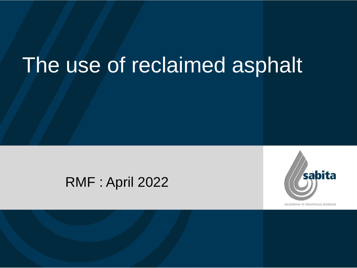# The use of reclaimed asphalt

### RMF : April 2022



excellence in bituminous products

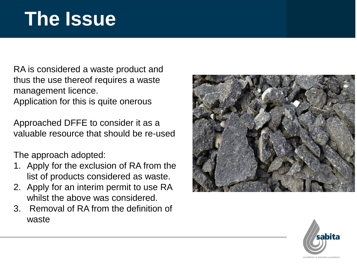# **The Issue**

RA is considered a waste product and thus the use thereof requires a waste management licence. Application for this is quite onerous

Approached DFFE to consider it as a valuable resource that should be re-used

The approach adopted:

- 1. Apply for the exclusion of RA from the list of products considered as waste.
- 2. Apply for an interim permit to use RA whilst the above was considered.
- 3. Removal of RA from the definition of waste



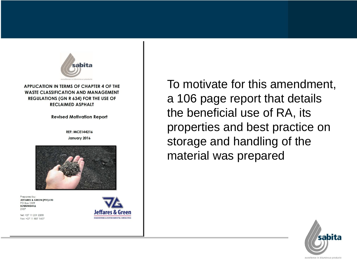

**APPLICATION IN TERMS OF CHAPTER 4 OF THE WASTE CLASSIFICATION AND MANAGEMENT** REGULATIONS (GN R 634) FOR THE USE OF **RECLAIMED ASPHALT** 

**Revised Motivation Report** 

**REF: MCE144216** January 2016



Prepared by: JEFFARES & GREEN (PTY) LTD **PO Box 1109 SUNNINGHILL** 2157

Tel: +27 11 231 2200 Fax: +27 11 807 1607

To motivate for this amendment, a 106 page report that details the beneficial use of RA, its properties and best practice on storage and handling of the material was prepared